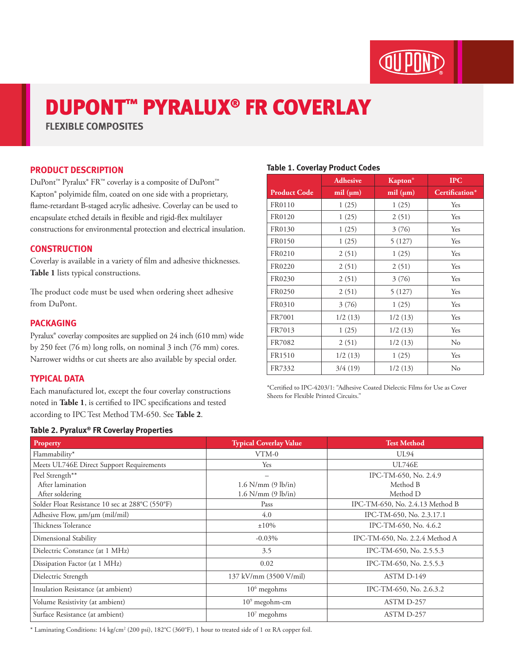

# DUPONT™ PYRALUX® FR COVERLAY

**FLEXIBLE COMPOSITES**

## **PRODUCT DESCRIPTION**

DuPont™ Pyralux® FR™ coverlay is a composite of DuPont™ Kapton® polyimide film, coated on one side with a proprietary, flame-retardant B-staged acrylic adhesive. Coverlay can be used to encapsulate etched details in flexible and rigid-flex multilayer constructions for environmental protection and electrical insulation.

## **CONSTRUCTION**

Coverlay is available in a variety of film and adhesive thicknesses. **Table 1** lists typical constructions.

The product code must be used when ordering sheet adhesive from DuPont.

# **PACKAGING**

Pyralux® coverlay composites are supplied on 24 inch (610 mm) wide by 250 feet (76 m) long rolls, on nominal 3 inch (76 mm) cores. Narrower widths or cut sheets are also available by special order.

# **TYPICAL DATA**

Each manufactured lot, except the four coverlay constructions noted in **Table 1**, is certified to IPC specifications and tested according to IPC Test Method TM-650. See **Table 2**.

#### **Table 1. Coverlay Product Codes**

|                     | <b>Adhesive</b> | <b>Kapton</b> <sup>®</sup> | <b>IPC</b>     |
|---------------------|-----------------|----------------------------|----------------|
| <b>Product Code</b> | mil $(\mu m)$   | mil $(\mu m)$              | Certification* |
| FR0110              | 1(25)           | 1(25)                      | Yes            |
| FR0120              | 1(25)           | 2(51)                      | Yes            |
| FR0130              | 1(25)           | 3(76)                      | Yes            |
| FR0150              | 1(25)           | 5 (127)                    | Yes            |
| FR0210              | 2(51)           | 1(25)                      | Yes            |
| FR0220              | 2(51)           | 2(51)                      | Yes            |
| FR0230              | 2(51)           | 3(76)                      | Yes            |
| FR0250              | 2(51)           | 5(127)                     | Yes            |
| FR0310              | 3(76)           | 1(25)                      | Yes            |
| FR7001              | 1/2(13)         | 1/2(13)                    | Yes            |
| FR7013              | 1(25)           | 1/2(13)                    | Yes            |
| FR7082              | 2(51)           | 1/2(13)                    | No             |
| FR1510              | 1/2(13)         | 1(25)                      | Yes            |
| FR7332              | 3/4(19)         | 1/2(13)                    | $\rm No$       |

\*Certified to IPC-4203/1: "Adhesive Coated Dielectic Films for Use as Cover Sheets for Flexible Printed Circuits."

#### **Table 2. Pyralux® FR Coverlay Properties**

| Property                                        | <b>Typical Coverlay Value</b> | <b>Test Method</b>              |
|-------------------------------------------------|-------------------------------|---------------------------------|
| Flammability*                                   | $VTM-0$                       | UL94                            |
| Meets UL746E Direct Support Requirements        | Yes                           | <b>UL746E</b>                   |
| Peel Strength**                                 |                               | IPC-TM-650, No. 2.4.9           |
| After lamination                                | $1.6$ N/mm $(9$ lb/in)        | Method B                        |
| After soldering                                 | $1.6$ N/mm $(9$ lb/in)        | Method D                        |
| Solder Float Resistance 10 sec at 288°C (550°F) | Pass                          | IPC-TM-650, No. 2.4.13 Method B |
| Adhesive Flow, $\mu$ m/ $\mu$ m (mil/mil)       | 4.0                           | IPC-TM-650, No. 2.3.17.1        |
| Thickness Tolerance                             | $\pm 10\%$                    | IPC-TM-650, No. 4.6.2           |
| Dimensional Stability                           | $-0.03\%$                     | IPC-TM-650, No. 2.2.4 Method A  |
| Dielectric Constance (at 1 MHz)                 | 3.5                           | IPC-TM-650, No. 2.5.5.3         |
| Dissipation Factor (at 1 MHz)                   | 0.02                          | IPC-TM-650, No. 2.5.5.3         |
| Dielectric Strength                             | 137 kV/mm (3500 V/mil)        | ASTM D-149                      |
| Insulation Resistance (at ambient)              | $106$ megohms                 | IPC-TM-650, No. 2.6.3.2         |
| Volume Resistivity (at ambient)                 | $109$ megohm-cm               | ASTM D-257                      |
| Surface Resistance (at ambient)                 | $107$ megohms                 | ASTM D-257                      |

\* Laminating Conditions: 14 kg/cm2 (200 psi), 182°C (360°F), 1 hour to treated side of 1 oz RA copper foil.